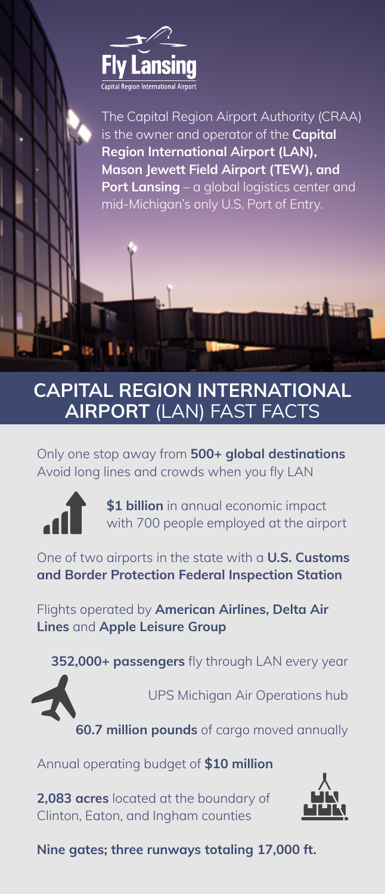

The Capital Region Airport Authority (CRAA) is the owner and operator of the **Capital Region International Airport (LAN), Mason Jewett Field Airport (TEW), and Port Lansing** – a global logistics center and mid-Michigan's only U.S. Port of Entry.

## **CAPITAL REGION INTERNATIONAL AIRPORT** (LAN) FAST FACTS

Only one stop away from **500+ global destinations** Avoid long lines and crowds when you fly LAN



**\$1 billion** in annual economic impact with 700 people employed at the airport

One of two airports in the state with a **U.S. Customs and Border Protection Federal Inspection Station**

Flights operated by **American Airlines, Delta Air Lines** and **Apple Leisure Group**

**352,000+ passengers** fly through LAN every year



UPS Michigan Air Operations hub

**60.7 million pounds** of cargo moved annually

Annual operating budget of **\$10 million**

**2,083 acres** located at the boundary of Clinton, Eaton, and Ingham counties



**Nine gates; three runways totaling 17,000 ft.**